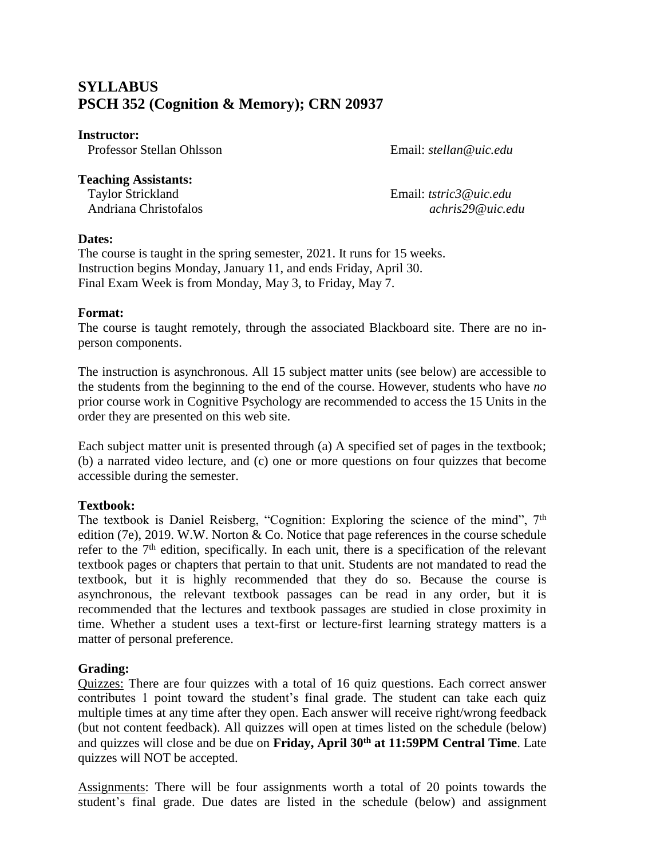# **SYLLABUS PSCH 352 (Cognition & Memory); CRN 20937**

#### **Instructor:**

Professor Stellan Ohlsson Email: *stellan@uic.edu*

### **Teaching Assistants:**

 Taylor Strickland Email: *tstric3@uic.edu* Andriana Christofalos *achris29@uic.edu*

# **Dates:**

The course is taught in the spring semester, 2021. It runs for 15 weeks. Instruction begins Monday, January 11, and ends Friday, April 30. Final Exam Week is from Monday, May 3, to Friday, May 7.

# **Format:**

The course is taught remotely, through the associated Blackboard site. There are no inperson components.

The instruction is asynchronous. All 15 subject matter units (see below) are accessible to the students from the beginning to the end of the course. However, students who have *no* prior course work in Cognitive Psychology are recommended to access the 15 Units in the order they are presented on this web site.

Each subject matter unit is presented through (a) A specified set of pages in the textbook; (b) a narrated video lecture, and (c) one or more questions on four quizzes that become accessible during the semester.

# **Textbook:**

The textbook is Daniel Reisberg, "Cognition: Exploring the science of the mind", 7<sup>th</sup> edition (7e), 2019. W.W. Norton & Co. Notice that page references in the course schedule refer to the  $7<sup>th</sup>$  edition, specifically. In each unit, there is a specification of the relevant textbook pages or chapters that pertain to that unit. Students are not mandated to read the textbook, but it is highly recommended that they do so. Because the course is asynchronous, the relevant textbook passages can be read in any order, but it is recommended that the lectures and textbook passages are studied in close proximity in time. Whether a student uses a text-first or lecture-first learning strategy matters is a matter of personal preference.

# **Grading:**

Quizzes: There are four quizzes with a total of 16 quiz questions. Each correct answer contributes 1 point toward the student's final grade. The student can take each quiz multiple times at any time after they open. Each answer will receive right/wrong feedback (but not content feedback). All quizzes will open at times listed on the schedule (below) and quizzes will close and be due on **Friday, April 30th at 11:59PM Central Time**. Late quizzes will NOT be accepted.

Assignments: There will be four assignments worth a total of 20 points towards the student's final grade. Due dates are listed in the schedule (below) and assignment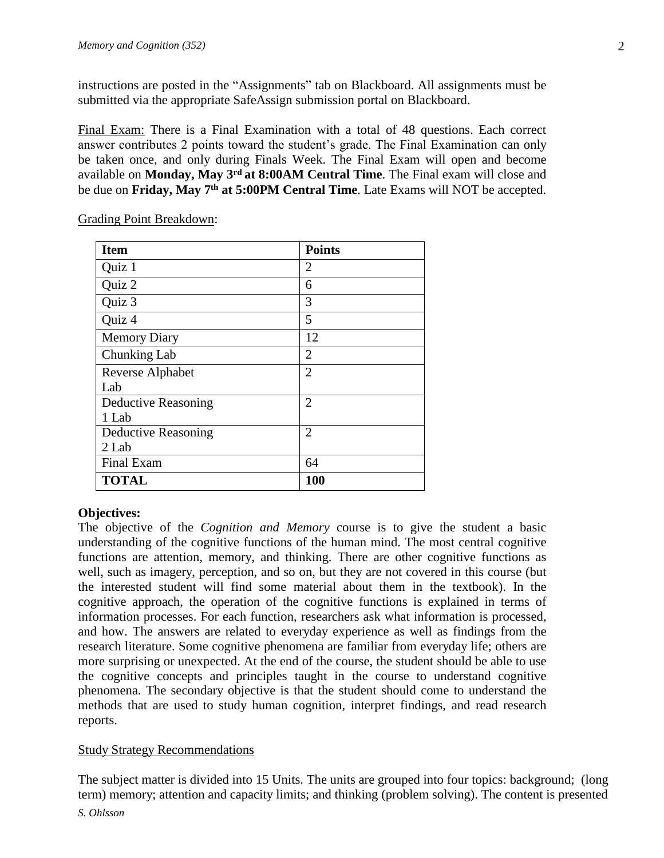instructions are posted in the "Assignments" tab on Blackboard. All assignments must be submitted via the appropriate SafeAssign submission portal on Blackboard.

Final Exam: There is a Final Examination with a total of 48 questions. Each correct answer contributes 2 points toward the student's grade. The Final Examination can only be taken once, and only during Finals Week. The Final Exam will open and become available on **Monday, May 3rd at 8:00AM Central Time**. The Final exam will close and be due on **Friday, May 7th at 5:00PM Central Time**. Late Exams will NOT be accepted.

| <b>Item</b>         | <b>Points</b>  |  |  |
|---------------------|----------------|--|--|
| Quiz 1              | 2              |  |  |
| Quiz 2              | 6              |  |  |
| Quiz 3              | 3              |  |  |
| Quiz 4              | 5              |  |  |
| <b>Memory Diary</b> | 12             |  |  |
| Chunking Lab        | $\overline{2}$ |  |  |
| Reverse Alphabet    | $\overline{2}$ |  |  |
| Lab                 |                |  |  |
| Deductive Reasoning | $\overline{2}$ |  |  |
| 1 Lab               |                |  |  |
| Deductive Reasoning | $\overline{2}$ |  |  |
| 2 Lab               |                |  |  |
| Final Exam          | 64             |  |  |
| <b>TOTAL</b>        | 100            |  |  |

Grading Point Breakdown:

# **Objectives:**

The objective of the *Cognition and Memory* course is to give the student a basic understanding of the cognitive functions of the human mind. The most central cognitive functions are attention, memory, and thinking. There are other cognitive functions as well, such as imagery, perception, and so on, but they are not covered in this course (but the interested student will find some material about them in the textbook). In the cognitive approach, the operation of the cognitive functions is explained in terms of information processes. For each function, researchers ask what information is processed, and how. The answers are related to everyday experience as well as findings from the research literature. Some cognitive phenomena are familiar from everyday life; others are more surprising or unexpected. At the end of the course, the student should be able to use the cognitive concepts and principles taught in the course to understand cognitive phenomena. The secondary objective is that the student should come to understand the methods that are used to study human cognition, interpret findings, and read research reports.

# Study Strategy Recommendations

The subject matter is divided into 15 Units. The units are grouped into four topics: background; (long term) memory; attention and capacity limits; and thinking (problem solving). The content is presented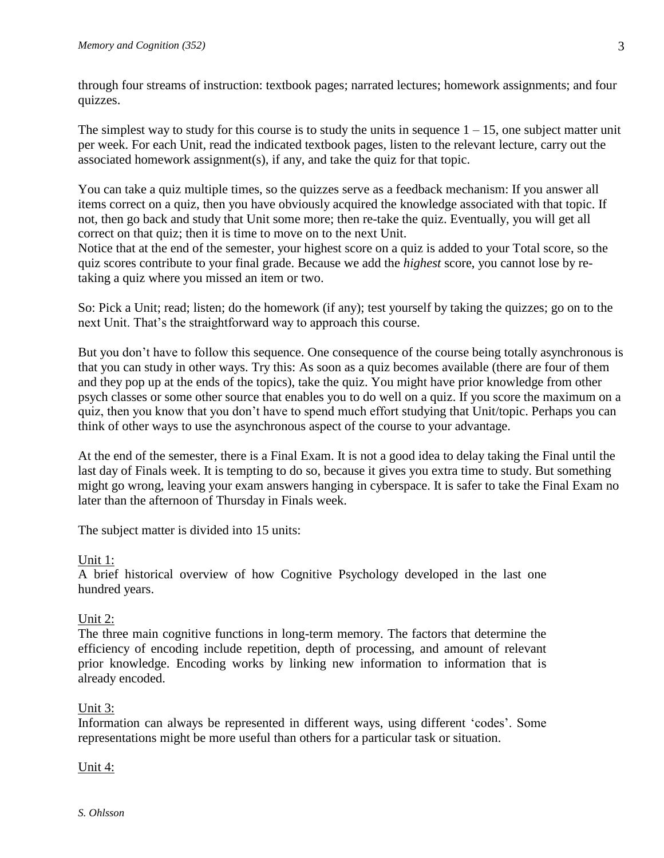through four streams of instruction: textbook pages; narrated lectures; homework assignments; and four quizzes.

The simplest way to study for this course is to study the units in sequence  $1 - 15$ , one subject matter unit per week. For each Unit, read the indicated textbook pages, listen to the relevant lecture, carry out the associated homework assignment(s), if any, and take the quiz for that topic.

You can take a quiz multiple times, so the quizzes serve as a feedback mechanism: If you answer all items correct on a quiz, then you have obviously acquired the knowledge associated with that topic. If not, then go back and study that Unit some more; then re-take the quiz. Eventually, you will get all correct on that quiz; then it is time to move on to the next Unit.

Notice that at the end of the semester, your highest score on a quiz is added to your Total score, so the quiz scores contribute to your final grade. Because we add the *highest* score, you cannot lose by retaking a quiz where you missed an item or two.

So: Pick a Unit; read; listen; do the homework (if any); test yourself by taking the quizzes; go on to the next Unit. That's the straightforward way to approach this course.

But you don't have to follow this sequence. One consequence of the course being totally asynchronous is that you can study in other ways. Try this: As soon as a quiz becomes available (there are four of them and they pop up at the ends of the topics), take the quiz. You might have prior knowledge from other psych classes or some other source that enables you to do well on a quiz. If you score the maximum on a quiz, then you know that you don't have to spend much effort studying that Unit/topic. Perhaps you can think of other ways to use the asynchronous aspect of the course to your advantage.

At the end of the semester, there is a Final Exam. It is not a good idea to delay taking the Final until the last day of Finals week. It is tempting to do so, because it gives you extra time to study. But something might go wrong, leaving your exam answers hanging in cyberspace. It is safer to take the Final Exam no later than the afternoon of Thursday in Finals week.

The subject matter is divided into 15 units:

# Unit 1:

A brief historical overview of how Cognitive Psychology developed in the last one hundred years.

# Unit 2:

The three main cognitive functions in long-term memory. The factors that determine the efficiency of encoding include repetition, depth of processing, and amount of relevant prior knowledge. Encoding works by linking new information to information that is already encoded.

# Unit 3:

Information can always be represented in different ways, using different 'codes'. Some representations might be more useful than others for a particular task or situation.

# Unit 4: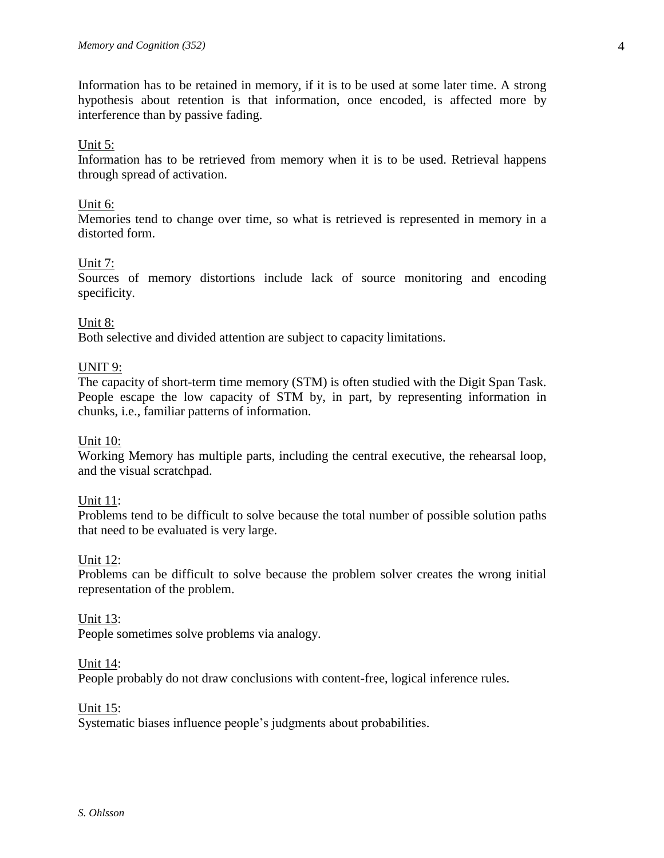Information has to be retained in memory, if it is to be used at some later time. A strong hypothesis about retention is that information, once encoded, is affected more by interference than by passive fading.

### Unit 5:

Information has to be retrieved from memory when it is to be used. Retrieval happens through spread of activation.

#### Unit 6:

Memories tend to change over time, so what is retrieved is represented in memory in a distorted form.

### Unit 7:

Sources of memory distortions include lack of source monitoring and encoding specificity.

### Unit 8:

Both selective and divided attention are subject to capacity limitations.

### UNIT 9:

The capacity of short-term time memory (STM) is often studied with the Digit Span Task. People escape the low capacity of STM by, in part, by representing information in chunks, i.e., familiar patterns of information.

#### Unit 10:

Working Memory has multiple parts, including the central executive, the rehearsal loop, and the visual scratchpad.

#### Unit 11:

Problems tend to be difficult to solve because the total number of possible solution paths that need to be evaluated is very large.

#### Unit 12:

Problems can be difficult to solve because the problem solver creates the wrong initial representation of the problem.

#### Unit 13:

People sometimes solve problems via analogy.

#### Unit 14:

People probably do not draw conclusions with content-free, logical inference rules.

#### Unit 15:

Systematic biases influence people's judgments about probabilities.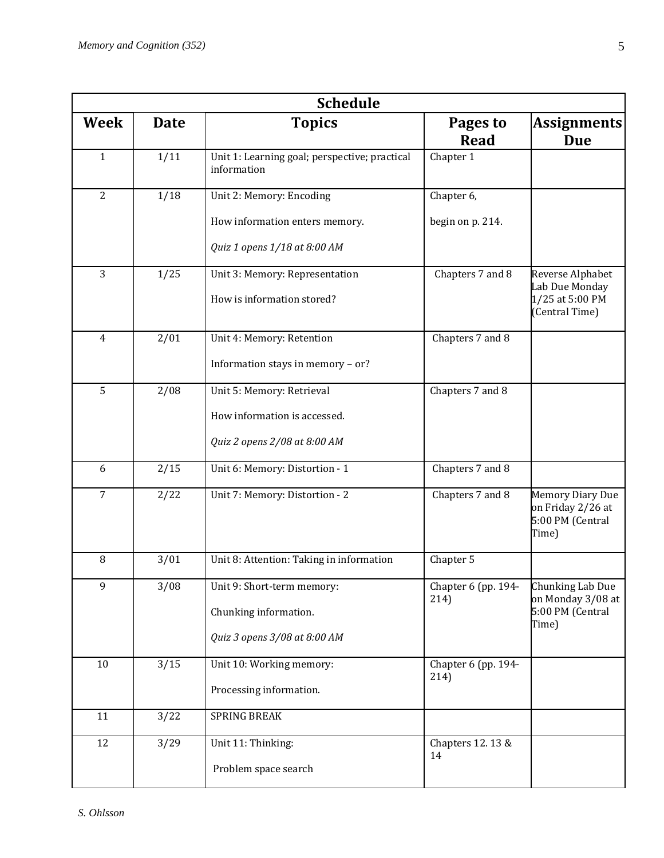| <b>Schedule</b> |             |                                                              |                             |                                                                           |  |  |
|-----------------|-------------|--------------------------------------------------------------|-----------------------------|---------------------------------------------------------------------------|--|--|
| Week            | <b>Date</b> | <b>Topics</b>                                                | Pages to<br><b>Read</b>     | <b>Assignments</b><br><b>Due</b>                                          |  |  |
| $\mathbf{1}$    | 1/11        | Unit 1: Learning goal; perspective; practical<br>information | Chapter 1                   |                                                                           |  |  |
| $\overline{2}$  | 1/18        | Unit 2: Memory: Encoding                                     | Chapter 6,                  |                                                                           |  |  |
|                 |             | How information enters memory.                               | begin on p. 214.            |                                                                           |  |  |
|                 |             | Quiz 1 opens 1/18 at 8:00 AM                                 |                             |                                                                           |  |  |
| 3               | 1/25        | Unit 3: Memory: Representation                               | Chapters 7 and 8            | <b>Reverse Alphabet</b>                                                   |  |  |
|                 |             | How is information stored?                                   |                             | Lab Due Monday<br>1/25 at 5:00 PM<br>(Central Time)                       |  |  |
| $\overline{4}$  | 2/01        | Unit 4: Memory: Retention                                    | Chapters 7 and 8            |                                                                           |  |  |
|                 |             | Information stays in memory - or?                            |                             |                                                                           |  |  |
| $\overline{5}$  | 2/08        | Unit 5: Memory: Retrieval                                    | Chapters 7 and 8            |                                                                           |  |  |
|                 |             | How information is accessed.                                 |                             |                                                                           |  |  |
|                 |             | Quiz 2 opens 2/08 at 8:00 AM                                 |                             |                                                                           |  |  |
| 6               | 2/15        | Unit 6: Memory: Distortion - 1                               | Chapters 7 and 8            |                                                                           |  |  |
| $\overline{7}$  | 2/22        | Unit 7: Memory: Distortion - 2                               | Chapters 7 and 8            | <b>Memory Diary Due</b><br>on Friday 2/26 at<br>5:00 PM (Central<br>Time) |  |  |
| 8               | 3/01        | Unit 8: Attention: Taking in information                     | Chapter 5                   |                                                                           |  |  |
| 9               | 3/08        | Unit 9: Short-term memory:                                   | Chapter 6 (pp. 194-<br>214) | Chunking Lab Due<br>on Monday 3/08 at                                     |  |  |
|                 |             | Chunking information.                                        |                             | 5:00 PM (Central<br>Time)                                                 |  |  |
|                 |             | Quiz 3 opens 3/08 at 8:00 AM                                 |                             |                                                                           |  |  |
| 10              | 3/15        | Unit 10: Working memory:                                     | Chapter 6 (pp. 194-<br>214) |                                                                           |  |  |
|                 |             | Processing information.                                      |                             |                                                                           |  |  |
| 11              | 3/22        | <b>SPRING BREAK</b>                                          |                             |                                                                           |  |  |
| 12              | 3/29        | Unit 11: Thinking:                                           | Chapters 12.13 &            |                                                                           |  |  |
|                 |             | Problem space search                                         | 14                          |                                                                           |  |  |